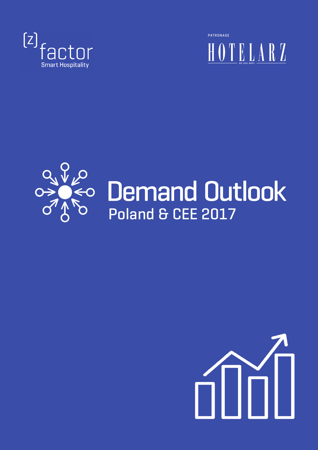

PATRONAGETELARZ



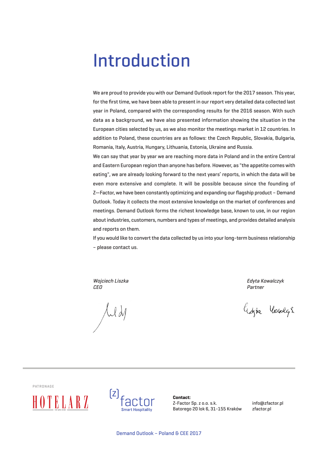## Introduction

We are proud to provide you with our Demand Outlook report for the 2017 season. This year, for the first time, we have been able to present in our report very detailed data collected last year in Poland, compared with the corresponding results for the 2016 season. With such data as a background, we have also presented information showing the situation in the European cities selected by us, as we also monitor the meetings market in 12 countries. In addition to Poland, these countries are as follows: the Czech Republic, Slovakia, Bulgaria, Romania, Italy, Austria, Hungary, Lithuania, Estonia, Ukraine and Russia.

We can say that year by year we are reaching more data in Poland and in the entire Central and Eastern European region than anyone has before. However, as "the appetite comes with eating", we are already looking forward to the next years' reports, in which the data will be even more extensive and complete. It will be possible because since the founding of Z—Factor, we have been constantly optimizing and expanding our flagship product – Demand Outlook. Today it collects the most extensive knowledge on the market of conferences and meetings. Demand Outlook forms the richest knowledge base, known to use, in our region aboutindustries, customers, numbers and types of meetings, and provides detailed analysis and reports on them.

If you would like to convertthe data collected by us into yourlong-term business relationship – please contact us.

Wojciech Liszka **Edyta Kowalczyk** CEO Partner

 $\int u d\mu$ 

happe Voulgs

PATRONAGE





**Contact:** Z-Factor Sp. z o.o. s.k. Batorego 20 lok 6, 31-155 Kraków

info@zfactor.pl zfactor.pl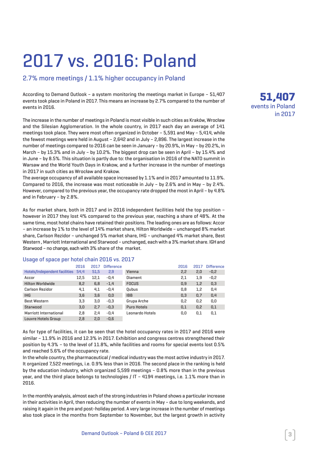## 2017 vs. 2016: Poland

#### 2.7% more meetings / 1.1% higher occupancy in Poland

According to Demand Outlook – a system monitoring the meetings market in Europe – 51,407 events took place in Poland in 2017. This means an increase by 2.7% compared to the number of events in 2016.

The increase in the number of meetings in Poland is most visible in such cities as Kraków, Wrocław and the Silesian Agglomeration. In the whole country, in 2017 each day an average of 141 meetings took place. They were most often organized in October – 5,591 and May – 5,414, while the fewest meetings were held in August – 2,642 and in July – 2,896. The largest increase in the number of meetings compared to 2016 can be seen in January – by 20.9%, in May – by 20.2%, in March – by 15.3% and in July – by 10.2%. The biggest drop can be seen in April – by 15.4% and in June – by 8.5%. This situation is partly due to: the organisation in 2016 of the NATO summit in Warsaw and the World Youth Days in Krakow, and a further increase in the number of meetings in 2017 in such cities as Wrocław and Krakow.

The average occupancy of all available space increased by 1.1% and in 2017 amounted to 11.9%. Compared to 2016, the increase was most noticeable in July – by 2.6% and in May – by 2.4%. However, compared to the previous year, the occupancy rate dropped the most in April – by 4.8% and in February – by 2.8%.

As for market share, both in 2017 and in 2016 independent facilities held the top position – however in 2017 they lost 4% compared to the previous year, reaching a share of 48%. At the same time, most hotel chains have retained their positions. The leading ones are as follows: Accor – an increase by 1% to the level of 14% market share, Hilton Worldwide – unchanged 8% market share, Carlson Rezidor – unchanged 5% market share, IHG – unchanged 4% market share, Best Western, Marriott International and Starwood - unchanged, each with a 3% market share. IGH and Starwood – no change, eachwith 3% share of the market.

|                               | 2016 | 2017 | <b>Difference</b> |                    | 2016 | 2017 | <b>Difference</b> |
|-------------------------------|------|------|-------------------|--------------------|------|------|-------------------|
| Hotels/Independent facilities | 54,4 | 51,5 | 2,9               | Vienna             | 2,2  | 2,0  | $-0,2$            |
| Accor                         | 12,5 | 12,1 | $-0.4$            | Diament            | 2,1  | 1,9  | $-0,2$            |
| <b>Hilton Worldwide</b>       | 8,2  | 6,8  | $-1.4$            | <b>FOCUS</b>       | 0,9  | 1,2  | 0,3               |
| Carlson Rezidor               | 4,1  | 4,1  | $-0.4$            | Oubus              | 0,8  | 1,2  | 0.4               |
| <b>IHG</b>                    | 3,6  | 3.6  | 0,0               | <b>IBB</b>         | 0,3  | 0,7  | 0,4               |
| <b>Best Western</b>           | 3.3  | 3.0  | $-0.3$            | Grupa Arche        | 0,2  | 0,2  | 0.0               |
| Starwood                      | 3,0  | 2.7  | $-0.3$            | <b>Puro Hotels</b> | 0,1  | 0,2  | 0,1               |
| Marriott International        | 2,8  | 2.4  | $-0.4$            | Leonardo Hotels    | 0,0  | 0,1  | 0,1               |
| <b>Louvre Hotels Group</b>    | 2,8  | 2,0  | $-0.6$            |                    |      |      |                   |

#### Usage of space per hotel chain 2016 vs. 2017

As for type of facilities, it can be seen that the hotel occupancy rates in 2017 and 2016 were similar – 11.9% in 2016 and 12.3% in 2017. Exhibition and congress centres strengthened their position by 4.3% – to the level of 11.8%, while facilities and rooms for special events lost 0.5% and reached 5.6% of the occupancy rate.

In the whole country, the pharmaceutical / medical industry was the most active industry in 2017. It organized 7,522 meetings, i.e. 0.9% less than in 2016. The second place in the ranking is held by the education industry, which organized 5,599 meetings – 0.8% more than in the previous year, and the third place belongs to technologies / IT – 4194 meetings, i.e. 1.1% more than in 2016.

In the monthly analysis, almost each of the strong industries in Poland shows a particular increase in their activities in April, then reducing the number of events in May – due to long weekends, and raising it again in the pre and post-holiday period. A very large increase in the number of meetings also took place in the months from September to November, but the largest growth in activity

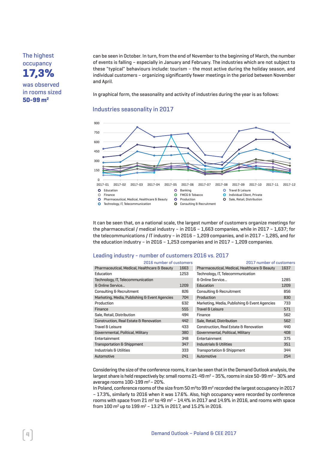The highest occupancy **17,3%** was observed

in rooms sized **50-99 m2**

can be seen in October. In turn, from the end of November to the beginning of March, the number of events is falling – especially in January and February. The industries which are not subject to these "typical" behaviours include: tourism – the most active during the holiday season, and individual customers – organizing significantly fewer meetings in the period between November and April.

In graphical form, the seasonality and activity of industries during the year is as follows:

#### Industries seasonality in 2017



It can be seen that, on a national scale, the largest number of customers organize meetings for the pharmaceutical / medical industry – in 2016 – 1,663 companies, while in 2017 – 1,637; for the telecommunications / IT industry – in 2016 – 1,209 companies, and in 2017 – 1,285, and for the education industry – in 2016 – 1,253 companies and in 2017 – 1,209 companies.

#### Leading industry - number of customers 2016 vs. 2017

| 2016 number of customers                      |      | 2017 number of customers                      |      |  |
|-----------------------------------------------|------|-----------------------------------------------|------|--|
| Pharmaceutical, Medical, Healthcare & Beauty  | 1663 | Pharmaceutical, Medical, Healthcare & Beauty  | 1637 |  |
| <b>Education</b>                              | 1253 | Technology, IT, Telecommunication             |      |  |
| Technology, IT, Telecommunication             |      | & Online Service                              | 1285 |  |
| & Online Service                              | 1209 | Education                                     | 1209 |  |
| <b>Consulting &amp; Recruitment</b>           | 826  | Consulting & Recruitment                      | 856  |  |
| Marketing, Media, Publishing & Event Agencies | 704  | Production                                    | 830  |  |
| Production                                    | 632  | Marketing, Media, Publishing & Event Agencies | 733  |  |
| Finance                                       | 555  | Travel & Leisure                              | 571  |  |
| Sale, Retail, Distribution                    | 494  | Finance                                       | 562  |  |
| Construction, Real Estate & Renovation        | 442  | Sale, Retail, Distribution                    | 562  |  |
| <b>Travel &amp; Leisure</b>                   | 433  | Construction, Real Estate & Renovation        | 440  |  |
| Governmental, Political, Military             | 380  | Governmental, Political, Military             | 408  |  |
| Entertainment                                 | 348  | Entertainment                                 | 375  |  |
| <b>Transportation &amp; Shippment</b>         | 347  | Industrials & Utilities                       | 351  |  |
| Industrials & Utilities                       | 333  | <b>Transportation &amp; Shippment</b>         | 344  |  |
| Automotive                                    | 241  | Automotive                                    | 254  |  |

Considering the size of the conference rooms, it can be seen that in the Demand Outlook analysis, the largest share is held respectively by: small rooms 21-49  $m^2$  – 35%, rooms in size 50-99  $m^2$  – 30% and average rooms  $100-199$  m<sup>2</sup> -  $20\%$ .

In Poland, conference rooms of the size from 50 m<sup>2</sup>to 99 m<sup>2</sup> recorded the largest occupancy in 2017 – 17.3%, similarly to 2016 when it was 17.6%. Also, high occupancy were recorded by conference rooms with space from 21 m<sup>2</sup> to 49 m<sup>2</sup> - 14.4% in 2017 and 14.9% in 2016, and rooms with space from 100 m2 up to 199 m2 – 13.2% in 2017, and 15.2% in 2016.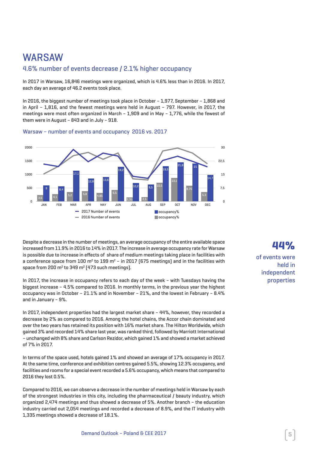## WARSAW

#### 4.6% number of events decrease / 2.1% higher occupancy

In 2017 in Warsaw, 16,846 meetings were organized, which is 4.6% less than in 2016. In 2017, each day an average of 46.2 events took place.

In 2016, the biggest number of meetings took place in October – 1,977, September – 1,868 and in April – 1,816, and the fewest meetings were held in August – 797. However, in 2017, the meetings were most often organized in March – 1,909 and in May – 1,776, while the fewest of them were in August – 843 and in July – 918.





Despite a decrease in the number of meetings, an average occupancy of the entire available space increased from 11.9% in 2016 to 14% in 2017. The increase in average occupancy rate for Warsaw is possible due to increase in effects of share of medium meetings taking place in facilities with a conference space from 100  $m^2$  to 199  $m^2$  – in 2017 (675 meetings) and in the facilities with space from 200  $m^2$  to 349  $m^2$  [473 such meetings].

In 2017, the increase in occupancy refers to each day of the week – with Tuesdays having the biggest increase – 4.5% compared to 2016. In monthly terms, in the previous year the highest occupancy was in October – 21.1% and in November – 21%, and the lowest in February – 8.4% and in January – 9%.

In 2017, independent properties had the largest market share – 44%, however, they recorded a decrease by 2% as compared to 2016. Among the hotel chains, the Accor chain dominated and over the two years has retained its position with 16% market share. The Hilton Worldwide, which gained 3% and recorded 14% share last year, was ranked third, followed by Marriott International – unchanged with 8% share and Carlson Rezidor, which gained 1% and showed a market achieved of 7% in 2017.

In terms of the space used, hotels gained 1% and showed an average of 17% occupancy in 2017. At the same time, conference and exhibition centres gained 5.5%, showing 12.3% occupancy, and facilities and rooms for a special event recorded a 5.6% occupancy, which means that compared to 2016 they lost 0.5%.

Compared to 2016, we can observe a decrease in the number of meetings held in Warsaw by each of the strongest industries in this city, including the pharmaceutical / beauty industry, which organized 2,474 meetings and thus showed a decrease of 5%. Another branch – the education industry carried out 2,054 meetings and recorded a decrease of 8.9%, and the IT industry with 1,335 meetings showed a decrease of 18.1%.

### **44%**

of events were held in independent properties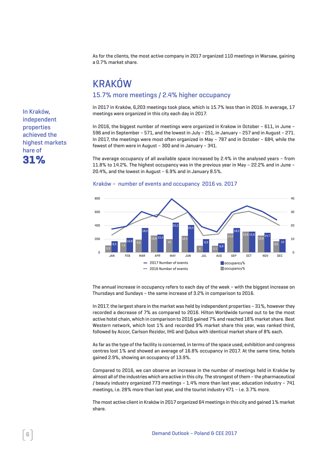As for the clients, the most active company in 2017 organized 110 meetings in Warsaw, gaining a 0.7% market share.

## KRAKÓW

#### 15.7% more meetings / 2.4% higher occupancy

In 2017 in Kraków, 6,203 meetings took place, which is 15.7% less than in 2016. In average, 17 meetings were organized in this city each day in 2017.

In 2016, the biggest number of meetings were organized in Krakow in October – 611, in June – 596 and in September – 571, and the lowest in July – 251, in January – 257 and in August – 271. In 2017, the meetings were most often organized in May – 787 and in October – 684, while the fewest of them were in August – 300 and in January – 341.

The average occupancy of all available space increased by 2.4% in the analysed years – from 11.8% to 14.2%. The highest occupancy was in the previous year in May – 22.2% and in June – 20.4%, and the lowest in August – 6.9% and in January 8.5%.



#### Kraków – number of events and occupancy 2016 vs. 2017

The annual increase in occupancy refers to each day of the week – with the biggest increase on Thursdays and Sundays – the same increase of 3.2% in comparison to 2016.

In 2017, the largest share in the market was held by independent properties – 31%, however they recorded a decrease of 7% as compared to 2016. Hilton Worldwide turned out to be the most active hotel chain, which in comparison to 2016 gained 7% and reached 18% market share. Best Western network, which lost 1% and recorded 9% market share this year, was ranked third, followed by Accor, Carlson Rezidor, IHG and Qubus with identical market share of 8% each.

As far as the type of the facility is concerned, in terms of the space used, exhibition and congress centres lost 1% and showed an average of 16.8% occupancy in 2017. At the same time, hotels gained 2.9%, showing an occupancy of 13.9%.

Compared to 2016, we can observe an increase in the number of meetings held in Kraków by almost all ofthe industrieswhich are active in this city. The strongest ofthem – the pharmaceutical / beauty industry organized 773 meetings – 1.4% more than last year, education industry – 741 meetings, i.e. 28% more than last year, and the tourist industry 471 – i.e. 3.7% more.

The most active clientin Kraków in 2017 organized 64 meetings in this city and gained 1% market share.

In Kraków, independent properties achieved the highest markets hare of **31%**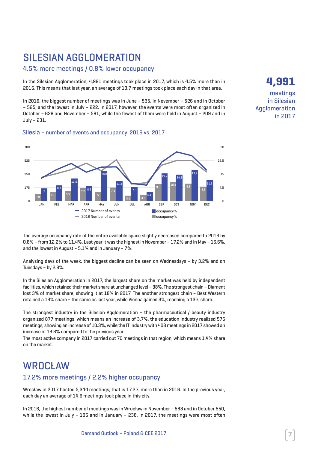## SILESIAN AGGI OMERATION

#### 4.5% more meetings / 0.8% lower occupancy

In the Silesian Agglomeration, 4,991 meetings took place in 2017, which is 4.5% more than in 2016. This means that last year, an average of 13.7 meetings took place each day in that area.

In 2016, the biggest number of meetings was in June – 535, in November – 526 and in October – 525, and the lowest in July – 222. In 2017, however, the events were most often organized in October – 629 and November – 591, while the fewest of them were held in August – 209 and in July – 231.

#### Silesia – number of events and occupancy 2016 vs. 2017



The average occupancy rate of the entire available space slightly decreased compared to 2016 by 0.8% – from 12.2% to 11.4%. Last yearitwas the highestin November – 17.2% and in May – 16.6%, and the lowest in August – 5.1% and in January – 7%.

Analysing days of the week, the biggest decline can be seen on Wednesdays – by 3.2% and on Tuesdays – by 2.8%.

In the Silesian Agglomeration in 2017, the largest share on the market was held by independent facilities, which retained their market share at unchanged level - 38%. The strongest chain - Diament lost 3% of market share, showing it at 18% in 2017. The another strongest chain – Best Western retained a 13% share – the same as last year, while Vienna gained 3%, reaching a 13% share.

The strongest industry in the Silesian Agglomeration – the pharmaceutical / beauty industry organized 877 meetings, which means an increase of 3.7%, the education industry realized 576 meetings, showing an increase of 10.3%,while the IT industrywith 408 meetings in 2017 showed an increase of 13.6% compared to the previous year.

The most active company in 2017 carried out 70 meetings in that region, which means 1.4% share on the market.

### WROCŁ AW

#### 17.2% more meetings / 2.2% higher occupancy

Wrocław in 2017 hosted 5,344 meetings, that is 17.2% more than in 2016. In the previous year, each day an average of 14.6 meetings took place in this city.

In 2016, the highest number of meetings was in Wrocław in November – 588 and in October 550, while the lowest in July – 196 and in January – 238. In 2017, the meetings were most often **4,991** meetings

in Silesian Agglomeration in 2017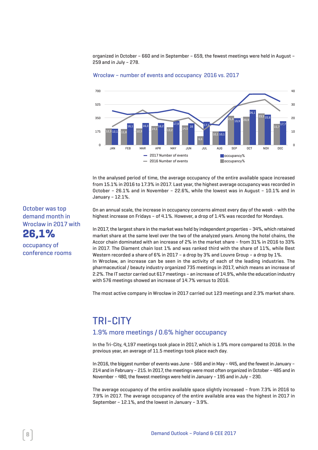organized in October – 660 and in September – 659, the fewest meetings were held in August – 259 and in July – 278.





In the analysed period of time, the average occupancy of the entire available space increased from 15.1% in 2016 to 17.3% in 2017. Last year, the highest average occupancy was recorded in October – 26.1% and in November – 22.6%, while the lowest was in August – 10.1% and in January – 12.1%.

On an annual scale, the increase in occupancy concerns almost every day of the week – with the highest increase on Fridays – of 4.1%. However, a drop of 1.4% was recorded for Mondays.

In 2017, the largest share in the market was held by independent properties - 34%, which retained market share at the same level over the two of the analyzed years. Among the hotel chains, the Accor chain dominated with an increase of 2% in the market share – from 31% in 2016 to 33% in 2017. The Diament chain lost 1% and was ranked third with the share of 11%, while Best Western recorded a share of 6% in 2017 – a drop by 3% and Louvre Group – a drop by 1%. In Wrocław, an increase can be seen in the activity of each of the leading industries. The pharmaceutical / beauty industry organized 735 meetings in 2017, which means an increase of 2.2%. The IT sector carried out 617 meetings – an increase of 14.9%, while the education industry with 576 meetings showed an increase of 14.7% versus to 2016.

The most active company in Wrocław in 2017 carried out 123 meetings and 2.3% market share.

### TRI-CITY 1.9% more meetings / 0.6% higher occupancy

In the Tri-City, 4,197 meetings took place in 2017, which is 1.9% more compared to 2016. In the previous year, an average of 11.5 meetings took place each day.

In 2016, the biggest number of events was June - 566 and in May - 445, and the fewest in January -214 and in February - 215. In 2017, the meetings were most often organized in October - 485 and in November – 480, the fewest meetings were held in January – 195 and in July – 230.

The average occupancy of the entire available space slightly increased – from 7.3% in 2016 to 7.9% in 2017. The average occupancy of the entire available area was the highest in 2017 in September – 12.1%, and the lowest in January – 3.9%.

#### October was top demand month in Wroclaw in 2017 with **26,1%**

occupancy of conference rooms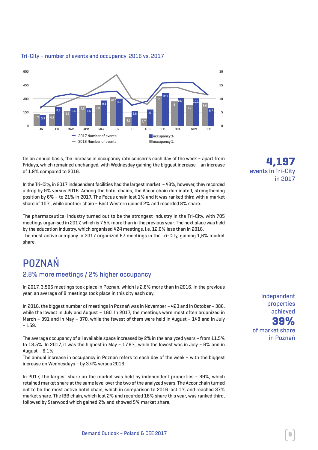

#### Tri-City – number of events and occupancy 2016 vs. 2017

On an annual basis, the increase in occupancy rate concerns each day of the week – apart from Fridays, which remained unchanged, with Wednesday gaining the biggest increase – an increase of 1.9% compared to 2016.

In the Tri-City, in 2017 independent facilities had the largest market - 43%, however, they recorded a drop by 9% versus 2016. Among the hotel chains, the Accor chain dominated, strengthening position by 6% – to 21% in 2017. The Focus chain lost 1% and it was ranked third with a market share of 10%, while another chain – Best Western gained 2% and recorded 8% share.

The pharmaceutical industry turned out to be the strongest industry in the Tri-City, with 705 meetings organised in 2017,which is 7.5% more than in the previous year. The next placewas held by the education industry, which organised 424 meetings, i.e. 12.6% less than in 2016. The most active company in 2017 organized 67 meetings in the Tri-City, gaining 1,6% market share.

## **POZNAŃ**

#### 2.8% more meetings / 2% higher occupancy

In 2017, 3,506 meetings took place in Poznań, which is 2.8% more than in 2016. In the previous year, an average of 8 meetings took place in this city each day.

In 2016, the biggest number of meetings in Poznań was in November – 423 and in October – 388, while the lowest in July and August – 160. In 2017, the meetings were most often organized in March – 391 and in May – 370, while the fewest of them were held in August – 148 and in July – 159.

The average occupancy of all available space increased by 2% in the analyzed years – from 11.5% to 13.5%. In 2017, it was the highest in May – 17.6%, while the lowest was in July – 6% and in August – 6.1%.

The annual increase in occupancy in Poznań refers to each day of the week – with the biggest increase on Wednesdays – by 3.4% versus 2016.

In 2017, the largest share on the market was held by independent properties – 39%, which retained market share at the same level over the two of the analyzed years. The Accor chain turned out to be the most active hotel chain, which in comparison to 2016 lost 1% and reached 37% market share. The IBB chain, which lost 2% and recorded 16% share this year, was ranked third, followed by Starwood which gained 2% and showed 5% market share.

**4,197** events in Tri-City in 2017

Independent properties achieved **39%** of market share in Poznań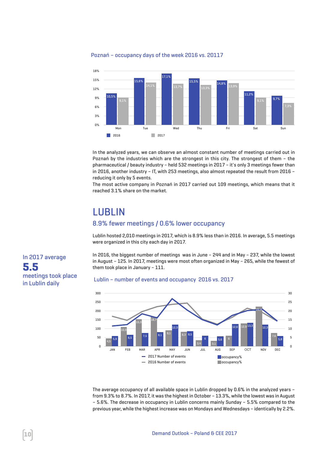

Poznań – occupancy days of the week 2016 vs. 20117

In the analyzed years, we can observe an almost constant number of meetings carried out in Poznań by the industries which are the strongest in this city. The strongest of them – the pharmaceutical / beauty industry – held 532 meetings in 2017 – it's only 3 meetings fewer than in 2016, another industry – IT, with 253 meetings, also almost repeated the result from 2016 – reducing it only by 5 events.

The most active company in Poznań in 2017 carried out 109 meetings, which means that it reached 3.1% share on the market.

## LUBLIN

#### 8.9% fewer meetings / 0.6% lower occupancy

Lublin hosted 2,010 meetings in 2017, which is 8.9% less than in 2016. In average, 5.5 meetings were organized in this city each day in 2017.

In 2016, the biggest number of meetings was in June – 244 and in May – 237, while the lowest in August – 125. In 2017, meetings were most often organized in May – 265, while the fewest of them took place in January – 111.

#### Lublin – number of events and occupancy 2016 vs. 2017



The average occupancy of all available space in Lublin dropped by 0.6% in the analyzed years – from 9.3% to 8.7%. In 2017, it was the highest in October – 13.3%, while the lowest was in August – 5.6%. The decrease in occupancy in Lublin concerns mainly Sunday – 5.5% compared to the previous year, while the highest increase was on Mondays and Wednesdays – identically by 2.2%.

In 2017 average **5.5** meetings took place in Lublin daily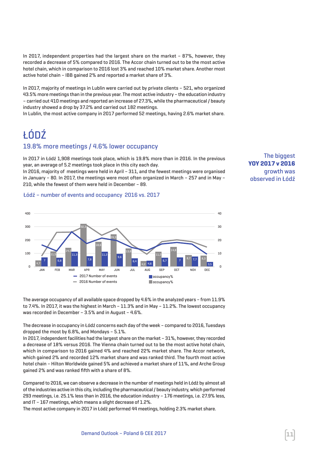In 2017, independent properties had the largest share on the market – 87%, however, they recorded a decrease of 5% compared to 2016. The Accor chain turned out to be the most active hotel chain, which in comparison to 2016 lost 3% and reached 10% market share. Another most active hotel chain – IBB gained 2% and reported a market share of 3%.

In 2017, majority of meetings in Lublin were carried out by private clients – 521, who organized 43.5% more meetings than in the previous year. The most active industry – the education industry – carried out 410 meetings and reported an increase of 27.3%, while the pharmaceutical/ beauty industry showed a drop by 37.2% and carried out 182 meetings.

In Lublin, the most active company in 2017 performed 52 meetings, having 2.6% market share.

## ŁÓDŹ

#### 19.8% more meetings / 4.6% lower occupancy

In 2017 in Łódź 1,908 meetings took place, which is 19.8% more than in 2016. In the previous year, an average of 5.2 meetings took place in this city each day.

In 2016, majority of meetings were held in April – 311, and the fewest meetings were organised in January – 80. In 2017, the meetings were most often organized in March – 257 and in May – 210, while the fewest of them were held in December – 89.

**The biggest YOY 2017 v 2016** growth was observed in Łódź

#### Łódź – number of events and occupancy 2016 vs. 2017



The average occupancy of all available space dropped by 4.6% in the analyzed years – from 11.9% to 7.4%. In 2017, it was the highest in March – 11.3% and in May – 11.2%. The lowest occupancy was recorded in December – 3.5% and in August – 4.6%.

The decrease in occupancy in Łódź concerns each day ofthe week – compared to 2016, Tuesdays dropped the most by 6.8%, and Mondays – 5.1%.

In 2017, independent facilities had the largest share on the market  $-31%$ , however, they recorded a decrease of 18% versus 2016. The Vienna chain turned out to be the most active hotel chain, which in comparison to 2016 gained 4% and reached 22% market share. The Accor network, which gained 2% and recorded 12% market share and was ranked third. The fourth most active hotel chain – Hilton Worldwide gained 5% and achieved a market share of 11%, and Arche Group gained 2% and was ranked fifth with a share of 8%.

Compared to 2016, we can observe a decrease in the number of meetings held in Łódź by almost all ofthe industries active in this city, including the pharmaceutical/ beauty industry,which performed 293 meetings, i.e. 25.1% less than in 2016, the education industry – 176 meetings, i.e. 27.9% less, and IT – 167 meetings, which means a slight decrease of 1.2%.

The most active company in 2017 in Łódź performed 44 meetings, holding 2.3% market share.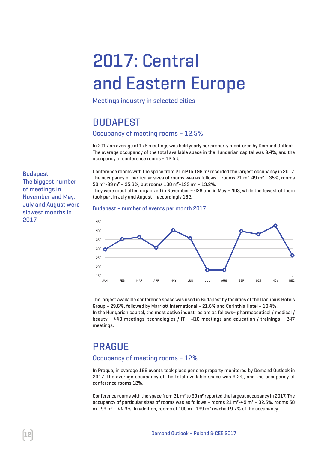# 2017: Central and Eastern Europe

Meetings industry in selected cities

## BUDAPEST

#### Occupancy of meeting rooms – 12.5%

In 2017 an average of 176 meetings was held yearly per property monitored by Demand Outlook. The average occupancy of the total available space in the Hungarian capital was 9.4%, and the occupancy of conference rooms – 12.5%.

Conference rooms with the space from  $21 \text{ m}^2$  to  $199 \text{ m}^2$  recorded the largest occupancy in 2017. The occupancy of particular sizes of rooms was as follows – rooms  $21 \text{ m}^2$ -49 m<sup>2</sup> – 35%, rooms 50 m2-99 m2 – 35.6%, but rooms 100 m2-199 m2 – 13.2%.

They were most often organized in November – 428 and in May – 403, while the fewest of them took part in July and August – accordingly 182.

#### Budapest – number of events per month 2017



The largest available conference space was used in Budapest by facilities of the Danubius Hotels Group – 29.6%, followed by Marriott International – 21.6% and Corinthia Hotel – 10.4%. In the Hungarian capital, the most active industries are as follows– pharmaceutical / medical / beauty – 449 meetings, technologies / IT – 410 meetings and education / trainings – 247 meetings.

## **PRAGUE**

#### Occupancy of meeting rooms – 12%

In Prague, in average 166 events took place per one property monitored by Demand Outlook in 2017. The average occupancy of the total available space was 9.2%, and the occupancy of conference rooms 12%.

Conference rooms with the space from 21  $m^2$  to 99  $m^2$  reported the largest occupancy in 2017. The occupancy of particular sizes of rooms was as follows – rooms  $21 \text{ m}^2$ -49 m<sup>2</sup> – 32.5%, rooms 50  $m^2$ -99 m<sup>2</sup> - 44.3%. In addition, rooms of 100 m<sup>2</sup>-199 m<sup>2</sup> reached 9.7% of the occupancy.

Budapest: The biggest number of meetings in November and May. July and August were slowest months in 2017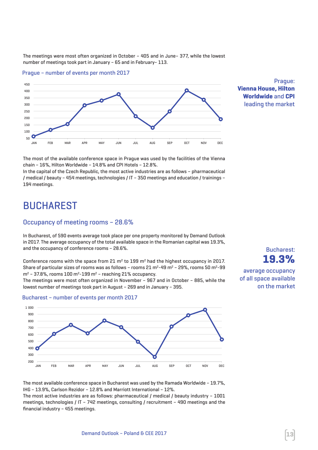The meetings were most often organized in October – 405 and in June– 377, while the lowest number of meetings took part in January – 65 and in February– 113.





Prague: **Vienna House, Hilton Worldwide** and **CPI** leading the market

The most of the available conference space in Prague was used by the facilities of the Vienna chain – 16%, Hilton Worldwide – 14.8% and CPI Hotels – 12.8%.

In the capital of the Czech Republic, the most active industries are as follows – pharmaceutical / medical / beauty – 454 meetings, technologies / IT – 350 meetings and education / trainings – 194 meetings.

## **BUCHAREST**

#### Occupancy of meeting rooms – 28.6%

In Bucharest, of 590 events average took place per one property monitored by Demand Outlook J in 2017. The average occupancy of the total available space in the Romanian capital was 19.3%, and the occupancy of conference rooms – 28.6%.

Conference rooms with the space from 21  $m^2$  to 199  $m^2$  had the highest occupancy in 2017. Share of particular sizes of rooms was as follows – rooms  $21 \text{ m}^2$ -49 m<sup>2</sup> – 29%, rooms 50 m<sup>2</sup>-99  $m^2$  – 37.8%, rooms 100 m<sup>2</sup>-199 m<sup>2</sup> – reaching 21% occupancy.

The meetings were most often organized in November – 967 and in October – 885, while the lowest number of meetings took part in August – 269 and in January – 395.



average occupancy of all space available on the market



#### Bucharest – number of events per month 2017

The most available conference space in Bucharest was used by the Ramada Worldwide – 19.7%, IHG – 13.9%, Carlson Rezidor – 12.8% and Marriott International – 12%.

The most active industries are as follows: pharmaceutical / medical / beauty industry – 1001 meetings, technologies / IT – 742 meetings, consulting / recruitment – 490 meetings and the financial industry – 455 meetings.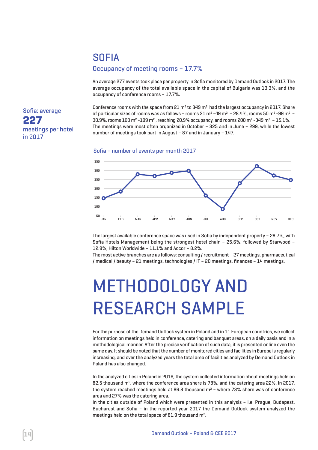### SOFIA

#### Occupancy of meeting rooms – 17.7%

An average 277 events took place per property in Sofia monitored by Demand Outlook in 2017. The average occupancy of the total available space in the capital of Bulgaria was 13.3%, and the occupancy of conference rooms – 17.7%.

Conference rooms with the space from 21  $m^2$  to 349  $m^2$  had the largest occupancy in 2017. Share of particular sizes of rooms was as follows - rooms 21 m<sup>2</sup> -49 m<sup>2</sup> - 28.4%, rooms 50 m<sup>2</sup> -99 m<sup>2</sup> - $30.9\%$ , rooms  $100$  m<sup>2</sup> -199 m<sup>2</sup>, reaching 20,9% occupancy, and rooms 200 m<sup>2</sup> -349 m<sup>2</sup> -15.1%. The meetings were most often organized in October – 325 and in June – 299, while the lowest number of meetings took part in August – 87 and in January – 147.





The largest available conference space was used in Sofia by independent property – 28.7%, with Sofia Hotels Management being the strongest hotel chain – 25.6%, followed by Starwood – 12.9%, Hilton Worldwide – 11.1% and Accor – 8.2%.

The most active branches are as follows: consulting /recruitment – 27 meetings, pharmaceutical / medical / beauty – 21 meetings, technologies / IT – 20 meetings, finances – 14 meetings.

# METHODOLOGY AND RESEARCH SAMPLE

Forthe purpose ofthe Demand Outlook system in Poland and in 11 European countries,we collect information on meetings held in conference, catering and banquet areas, on a daily basis and in a methodological manner. Afterthe precise verification of such data, itis presented online even the same day. It should be noted that the number of monitored cities and facilities in Europe is regularly increasing, and over the analyzed years the total area of facilities analyzed by Demand Outlook in Poland has also changed.

In the analyzed cities in Poland in 2016, the system collected information obout meetings held on 82.5 thousand m<sup>2</sup>, where the conference area shere is 78%, and the catering area 22%. In 2017, the system reached meetings held at 86.8 thousand  $m^2$  – where 73% shere was of conference area and 27% was the catering area.

In the cities outside of Poland which were presented in this analysis – i.e. Prague, Budapest, Bucharest and Sofia – in the reported year 2017 the Demand Outlook system analyzed the meetings held on the total space of 81.9 thousand m2.

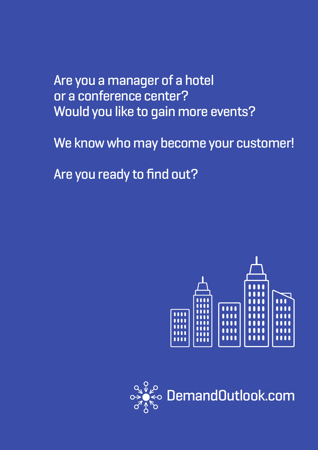Are you a manager of a hotel or a conference center? Would you like to gain more events?

We know who may become your customer!

Are you ready to find out?